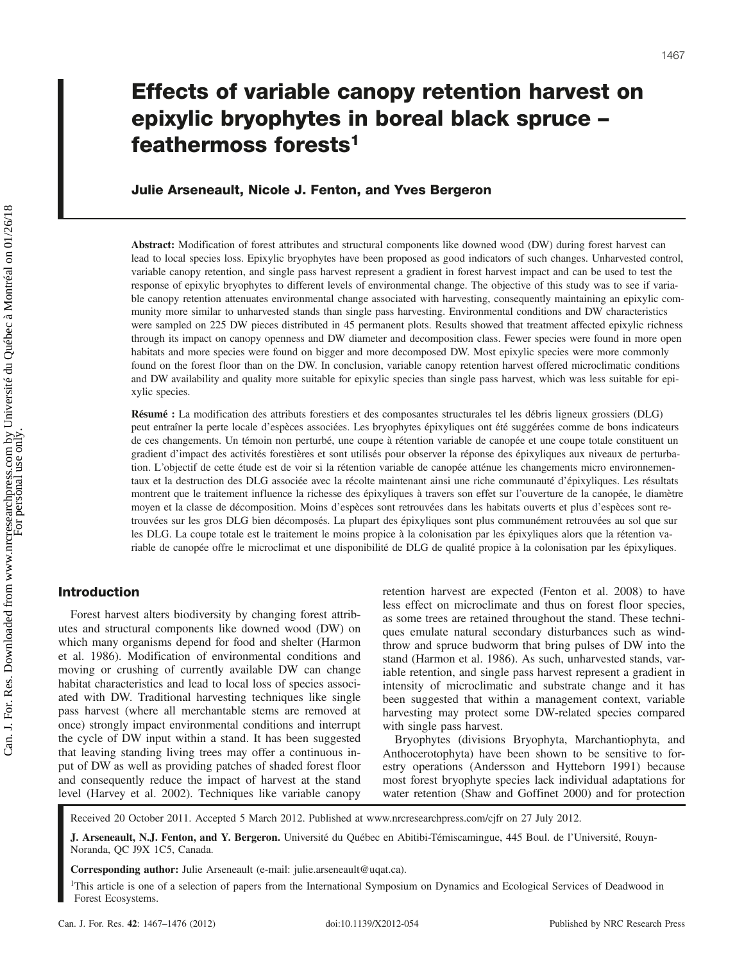# Julie Arseneault, Nicole J. Fenton, and Yves Bergeron

Abstract: Modification of forest attributes and structural components like downed wood (DW) during forest harvest can lead to local species loss. Epixylic bryophytes have been proposed as good indicators of such changes. Unharvested control, variable canopy retention, and single pass harvest represent a gradient in forest harvest impact and can be used to test the response of epixylic bryophytes to different levels of environmental change. The objective of this study was to see if variable canopy retention attenuates environmental change associated with harvesting, consequently maintaining an epixylic community more similar to unharvested stands than single pass harvesting. Environmental conditions and DW characteristics were sampled on 225 DW pieces distributed in 45 permanent plots. Results showed that treatment affected epixylic richness through its impact on canopy openness and DW diameter and decomposition class. Fewer species were found in more open habitats and more species were found on bigger and more decomposed DW. Most epixylic species were more commonly found on the forest floor than on the DW. In conclusion, variable canopy retention harvest offered microclimatic conditions and DW availability and quality more suitable for epixylic species than single pass harvest, which was less suitable for epixylic species.

Résumé : La modification des attributs forestiers et des composantes structurales tel les débris ligneux grossiers (DLG) peut entraîner la perte locale d'espèces associées. Les bryophytes épixyliques ont été suggérées comme de bons indicateurs de ces changements. Un témoin non perturbé, une coupe à rétention variable de canopée et une coupe totale constituent un gradient d'impact des activités forestières et sont utilisés pour observer la réponse des épixyliques aux niveaux de perturbation. L'objectif de cette étude est de voir si la rétention variable de canopée atténue les changements micro environnementaux et la destruction des DLG associée avec la récolte maintenant ainsi une riche communauté d'épixyliques. Les résultats montrent que le traitement influence la richesse des épixyliques à travers son effet sur l'ouverture de la canopée, le diamètre moyen et la classe de décomposition. Moins d'espèces sont retrouvées dans les habitats ouverts et plus d'espèces sont retrouvées sur les gros DLG bien décomposés. La plupart des épixyliques sont plus communément retrouvées au sol que sur les DLG. La coupe totale est le traitement le moins propice à la colonisation par les épixyliques alors que la rétention variable de canopée offre le microclimat et une disponibilité de DLG de qualité propice à la colonisation par les épixyliques.

## Introduction

Forest harvest alters biodiversity by changing forest attributes and structural components like downed wood (DW) on which many organisms depend for food and shelter (Harmon et al. 1986). Modification of environmental conditions and moving or crushing of currently available DW can change habitat characteristics and lead to local loss of species associated with DW. Traditional harvesting techniques like single pass harvest (where all merchantable stems are removed at once) strongly impact environmental conditions and interrupt the cycle of DW input within a stand. It has been suggested that leaving standing living trees may offer a continuous input of DW as well as providing patches of shaded forest floor and consequently reduce the impact of harvest at the stand level (Harvey et al. 2002). Techniques like variable canopy retention harvest are expected (Fenton et al. 2008) to have less effect on microclimate and thus on forest floor species, as some trees are retained throughout the stand. These techniques emulate natural secondary disturbances such as windthrow and spruce budworm that bring pulses of DW into the stand (Harmon et al. 1986). As such, unharvested stands, variable retention, and single pass harvest represent a gradient in intensity of microclimatic and substrate change and it has been suggested that within a management context, variable harvesting may protect some DW-related species compared with single pass harvest.

Bryophytes (divisions Bryophyta, Marchantiophyta, and Anthocerotophyta) have been shown to be sensitive to forestry operations (Andersson and Hytteborn 1991) because most forest bryophyte species lack individual adaptations for water retention (Shaw and Goffinet 2000) and for protection

Received 20 October 2011. Accepted 5 March 2012. Published at www.nrcresearchpress.com/cjfr on 27 July 2012.

J. Arseneault, N.J. Fenton, and Y. Bergeron. Université du Québec en Abitibi-Témiscamingue, 445 Boul. de l'Université, Rouyn-Noranda, QC J9X 1C5, Canada.

Corresponding author: Julie Arseneault (e-mail: julie.arseneault@uqat.ca).

<sup>1</sup>This article is one of a selection of papers from the International Symposium on Dynamics and Ecological Services of Deadwood in Forest Ecosystems.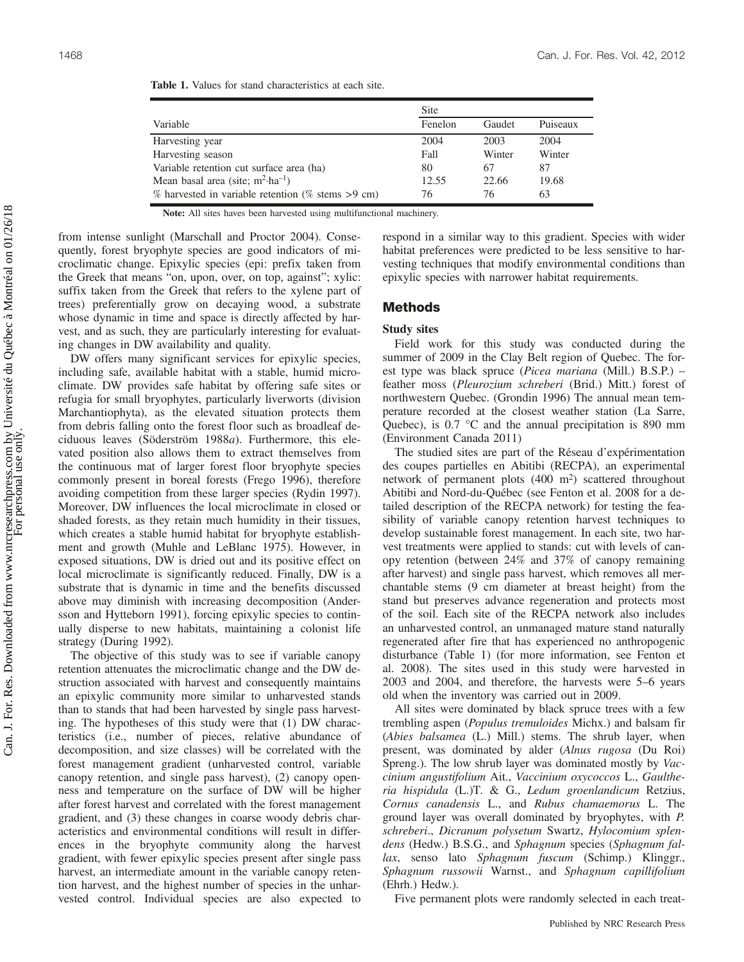|                                                          | Site    |        |          |
|----------------------------------------------------------|---------|--------|----------|
| Variable                                                 | Fenelon | Gaudet | Puiseaux |
| Harvesting year                                          | 2004    | 2003   | 2004     |
| Harvesting season                                        | Fall    | Winter | Winter   |
| Variable retention cut surface area (ha)                 | 80      | 67     | 87       |
| Mean basal area (site; $m^2$ -ha <sup>-1</sup> )         | 12.55   | 22.66  | 19.68    |
| $\%$ harvested in variable retention ( $\%$ stems >9 cm) | 76      | 76     | 63       |

| <b>Table 1.</b> Values for stand characteristics at each site. |
|----------------------------------------------------------------|
|----------------------------------------------------------------|

Note: All sites haves been harvested using multifunctional machinery.

from intense sunlight (Marschall and Proctor 2004). Consequently, forest bryophyte species are good indicators of microclimatic change. Epixylic species (epi: prefix taken from the Greek that means "on, upon, over, on top, against"; xylic: suffix taken from the Greek that refers to the xylene part of trees) preferentially grow on decaying wood, a substrate whose dynamic in time and space is directly affected by harvest, and as such, they are particularly interesting for evaluating changes in DW availability and quality.

DW offers many significant services for epixylic species, including safe, available habitat with a stable, humid microclimate. DW provides safe habitat by offering safe sites or refugia for small bryophytes, particularly liverworts (division Marchantiophyta), as the elevated situation protects them from debris falling onto the forest floor such as broadleaf deciduous leaves (Söderström 1988a). Furthermore, this elevated position also allows them to extract themselves from the continuous mat of larger forest floor bryophyte species commonly present in boreal forests (Frego 1996), therefore avoiding competition from these larger species (Rydin 1997). Moreover, DW influences the local microclimate in closed or shaded forests, as they retain much humidity in their tissues, which creates a stable humid habitat for bryophyte establishment and growth (Muhle and LeBlanc 1975). However, in exposed situations, DW is dried out and its positive effect on local microclimate is significantly reduced. Finally, DW is a substrate that is dynamic in time and the benefits discussed above may diminish with increasing decomposition (Andersson and Hytteborn 1991), forcing epixylic species to continually disperse to new habitats, maintaining a colonist life strategy (During 1992).

The objective of this study was to see if variable canopy retention attenuates the microclimatic change and the DW destruction associated with harvest and consequently maintains an epixylic community more similar to unharvested stands than to stands that had been harvested by single pass harvesting. The hypotheses of this study were that (1) DW characteristics (i.e., number of pieces, relative abundance of decomposition, and size classes) will be correlated with the forest management gradient (unharvested control, variable canopy retention, and single pass harvest), (2) canopy openness and temperature on the surface of DW will be higher after forest harvest and correlated with the forest management gradient, and (3) these changes in coarse woody debris characteristics and environmental conditions will result in differences in the bryophyte community along the harvest gradient, with fewer epixylic species present after single pass harvest, an intermediate amount in the variable canopy retention harvest, and the highest number of species in the unharvested control. Individual species are also expected to respond in a similar way to this gradient. Species with wider habitat preferences were predicted to be less sensitive to harvesting techniques that modify environmental conditions than epixylic species with narrower habitat requirements.

# Methods

## Study sites

Field work for this study was conducted during the summer of 2009 in the Clay Belt region of Quebec. The forest type was black spruce (Picea mariana (Mill.) B.S.P.) – feather moss (Pleurozium schreberi (Brid.) Mitt.) forest of northwestern Quebec. (Grondin 1996) The annual mean temperature recorded at the closest weather station (La Sarre, Quebec), is 0.7 °C and the annual precipitation is 890 mm (Environment Canada 2011)

The studied sites are part of the Réseau d'expérimentation des coupes partielles en Abitibi (RECPA), an experimental network of permanent plots (400 m2) scattered throughout Abitibi and Nord-du-Québec (see Fenton et al. 2008 for a detailed description of the RECPA network) for testing the feasibility of variable canopy retention harvest techniques to develop sustainable forest management. In each site, two harvest treatments were applied to stands: cut with levels of canopy retention (between 24% and 37% of canopy remaining after harvest) and single pass harvest, which removes all merchantable stems (9 cm diameter at breast height) from the stand but preserves advance regeneration and protects most of the soil. Each site of the RECPA network also includes an unharvested control, an unmanaged mature stand naturally regenerated after fire that has experienced no anthropogenic disturbance (Table 1) (for more information, see Fenton et al. 2008). The sites used in this study were harvested in 2003 and 2004, and therefore, the harvests were 5–6 years old when the inventory was carried out in 2009.

All sites were dominated by black spruce trees with a few trembling aspen (Populus tremuloides Michx.) and balsam fir (Abies balsamea (L.) Mill.) stems. The shrub layer, when present, was dominated by alder (Alnus rugosa (Du Roi) Spreng.). The low shrub layer was dominated mostly by *Vac*cinium angustifolium Ait., Vaccinium oxycoccos L., Gaultheria hispidula (L.)T. & G., Ledum groenlandicum Retzius, Cornus canadensis L., and Rubus chamaemorus L. The ground layer was overall dominated by bryophytes, with P. schreberi., Dicranum polysetum Swartz, Hylocomium splendens (Hedw.) B.S.G., and Sphagnum species (Sphagnum fallax, senso lato Sphagnum fuscum (Schimp.) Klinggr., Sphagnum russowii Warnst., and Sphagnum capillifolium (Ehrh.) Hedw.).

Five permanent plots were randomly selected in each treat-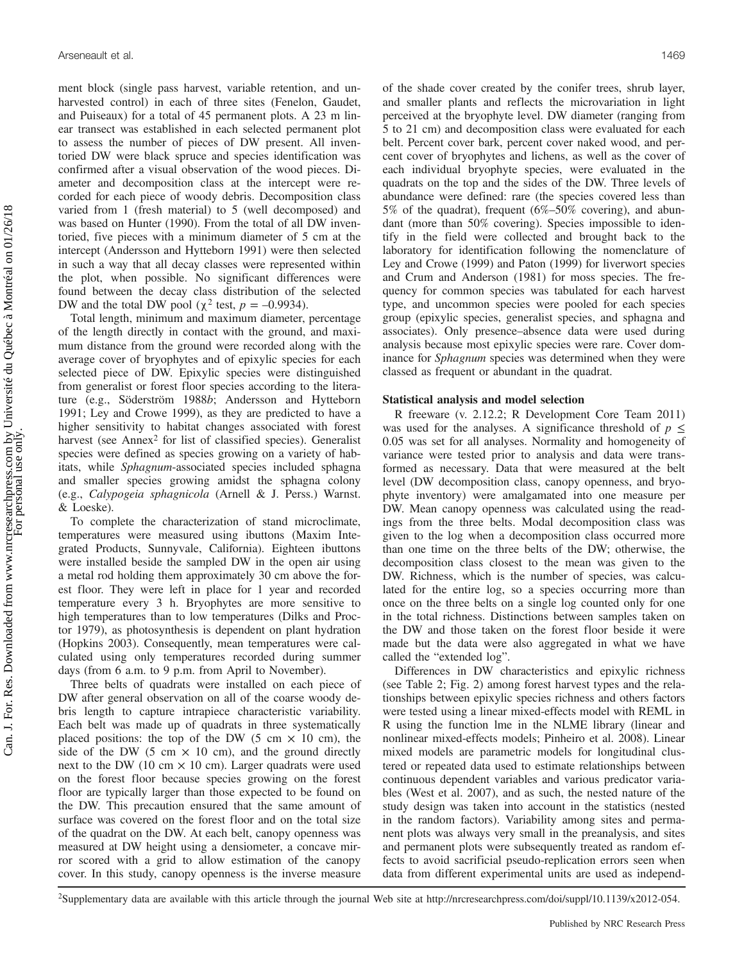ment block (single pass harvest, variable retention, and unharvested control) in each of three sites (Fenelon, Gaudet, and Puiseaux) for a total of 45 permanent plots. A 23 m linear transect was established in each selected permanent plot to assess the number of pieces of DW present. All inventoried DW were black spruce and species identification was confirmed after a visual observation of the wood pieces. Diameter and decomposition class at the intercept were recorded for each piece of woody debris. Decomposition class varied from 1 (fresh material) to 5 (well decomposed) and was based on Hunter (1990). From the total of all DW inventoried, five pieces with a minimum diameter of 5 cm at the intercept (Andersson and Hytteborn 1991) were then selected in such a way that all decay classes were represented within the plot, when possible. No significant differences were found between the decay class distribution of the selected DW and the total DW pool ( $\chi^2$  test,  $p = -0.9934$ ).

Total length, minimum and maximum diameter, percentage of the length directly in contact with the ground, and maximum distance from the ground were recorded along with the average cover of bryophytes and of epixylic species for each selected piece of DW. Epixylic species were distinguished from generalist or forest floor species according to the literature (e.g., Söderström 1988b; Andersson and Hytteborn 1991; Ley and Crowe 1999), as they are predicted to have a higher sensitivity to habitat changes associated with forest harvest (see Annex<sup>2</sup> for list of classified species). Generalist species were defined as species growing on a variety of habitats, while Sphagnum-associated species included sphagna and smaller species growing amidst the sphagna colony (e.g., Calypogeia sphagnicola (Arnell & J. Perss.) Warnst. & Loeske).

To complete the characterization of stand microclimate, temperatures were measured using ibuttons (Maxim Integrated Products, Sunnyvale, California). Eighteen ibuttons were installed beside the sampled DW in the open air using a metal rod holding them approximately 30 cm above the forest floor. They were left in place for 1 year and recorded temperature every 3 h. Bryophytes are more sensitive to high temperatures than to low temperatures (Dilks and Proctor 1979), as photosynthesis is dependent on plant hydration (Hopkins 2003). Consequently, mean temperatures were calculated using only temperatures recorded during summer days (from 6 a.m. to 9 p.m. from April to November).

Three belts of quadrats were installed on each piece of DW after general observation on all of the coarse woody debris length to capture intrapiece characteristic variability. Each belt was made up of quadrats in three systematically placed positions: the top of the DW (5 cm  $\times$  10 cm), the side of the DW (5 cm  $\times$  10 cm), and the ground directly next to the DW (10 cm  $\times$  10 cm). Larger quadrats were used on the forest floor because species growing on the forest floor are typically larger than those expected to be found on the DW. This precaution ensured that the same amount of surface was covered on the forest floor and on the total size of the quadrat on the DW. At each belt, canopy openness was measured at DW height using a densiometer, a concave mirror scored with a grid to allow estimation of the canopy cover. In this study, canopy openness is the inverse measure of the shade cover created by the conifer trees, shrub layer, and smaller plants and reflects the microvariation in light perceived at the bryophyte level. DW diameter (ranging from 5 to 21 cm) and decomposition class were evaluated for each belt. Percent cover bark, percent cover naked wood, and percent cover of bryophytes and lichens, as well as the cover of each individual bryophyte species, were evaluated in the quadrats on the top and the sides of the DW. Three levels of abundance were defined: rare (the species covered less than 5% of the quadrat), frequent (6%–50% covering), and abundant (more than 50% covering). Species impossible to identify in the field were collected and brought back to the laboratory for identification following the nomenclature of Ley and Crowe (1999) and Paton (1999) for liverwort species and Crum and Anderson (1981) for moss species. The frequency for common species was tabulated for each harvest type, and uncommon species were pooled for each species group (epixylic species, generalist species, and sphagna and associates). Only presence–absence data were used during analysis because most epixylic species were rare. Cover dominance for Sphagnum species was determined when they were classed as frequent or abundant in the quadrat.

#### Statistical analysis and model selection

R freeware (v. 2.12.2; R Development Core Team 2011) was used for the analyses. A significance threshold of  $p \leq$ 0.05 was set for all analyses. Normality and homogeneity of variance were tested prior to analysis and data were transformed as necessary. Data that were measured at the belt level (DW decomposition class, canopy openness, and bryophyte inventory) were amalgamated into one measure per DW. Mean canopy openness was calculated using the readings from the three belts. Modal decomposition class was given to the log when a decomposition class occurred more than one time on the three belts of the DW; otherwise, the decomposition class closest to the mean was given to the DW. Richness, which is the number of species, was calculated for the entire log, so a species occurring more than once on the three belts on a single log counted only for one in the total richness. Distinctions between samples taken on the DW and those taken on the forest floor beside it were made but the data were also aggregated in what we have called the "extended log".

Differences in DW characteristics and epixylic richness (see Table 2; Fig. 2) among forest harvest types and the relationships between epixylic species richness and others factors were tested using a linear mixed-effects model with REML in R using the function lme in the NLME library (linear and nonlinear mixed-effects models; Pinheiro et al. 2008). Linear mixed models are parametric models for longitudinal clustered or repeated data used to estimate relationships between continuous dependent variables and various predicator variables (West et al. 2007), and as such, the nested nature of the study design was taken into account in the statistics (nested in the random factors). Variability among sites and permanent plots was always very small in the preanalysis, and sites and permanent plots were subsequently treated as random effects to avoid sacrificial pseudo-replication errors seen when data from different experimental units are used as independ-

2Supplementary data are available with this article through the journal Web site at http://nrcresearchpress.com/doi/suppl/10.1139/x2012-054.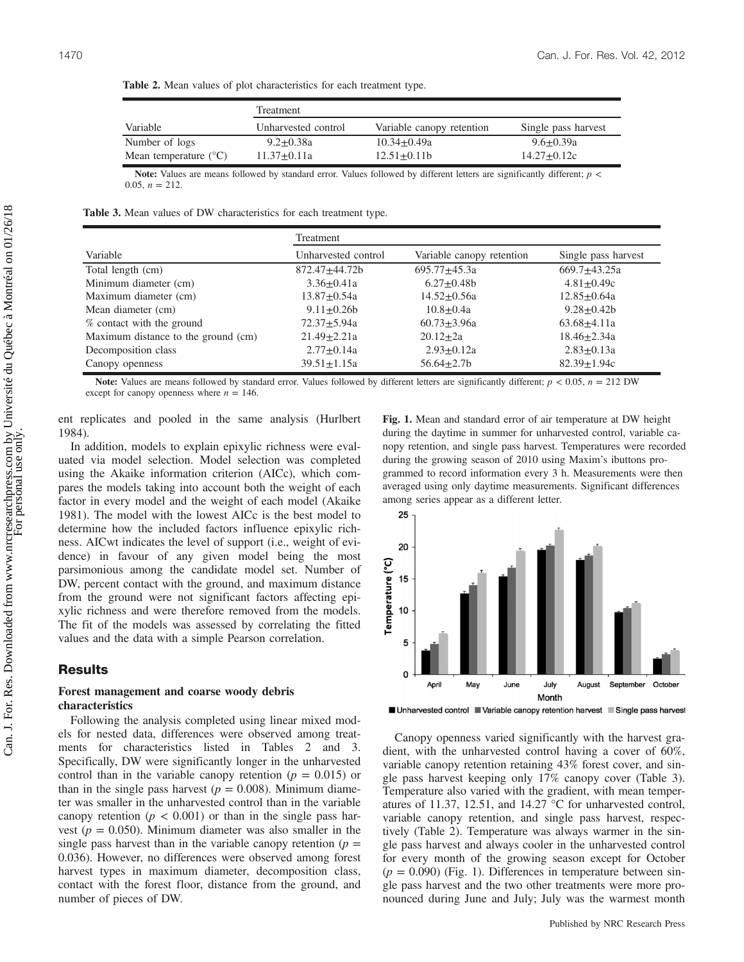Treatment Variable Unharvested control Variable canopy retention Single pass harvest Number of logs 9.2±0.38a 10.34±0.49a 9.6±0.39a Mean temperature  $°C$  11.37 $\pm$ 0.11a 12.51 $\pm$ 0.11b 14.27 $\pm$ 0.12c

Table 2. Mean values of plot characteristics for each treatment type.

Note: Values are means followed by standard error. Values followed by different letters are significantly different;  $p <$ 0.05,  $n = 212$ .

Table 3. Mean values of DW characteristics for each treatment type.

|                                     | Treatment           |                           |                     |  |
|-------------------------------------|---------------------|---------------------------|---------------------|--|
| Variable                            | Unharvested control | Variable canopy retention | Single pass harvest |  |
| Total length (cm)                   | 872.47+44.72b       | $695.77 + 45.3a$          | $669.7+43.25a$      |  |
| Minimum diameter (cm)               | $3.36 + 0.41a$      | $6.27+0.48b$              | $4.81 + 0.49c$      |  |
| Maximum diameter (cm)               | $13.87 + 0.54a$     | $14.52 + 0.56a$           | $12.85 + 0.64a$     |  |
| Mean diameter (cm)                  | $9.11 + 0.26b$      | $10.8 + 0.4a$             | $9.28 + 0.42b$      |  |
| % contact with the ground           | $72.37 + 5.94a$     | $60.73 + 3.96a$           | $63.68 + 4.11a$     |  |
| Maximum distance to the ground (cm) | $21.49 \pm 2.21a$   | $20.12 + 2a$              | $18.46 + 2.34a$     |  |
| Decomposition class                 | $2.77 \pm 0.14a$    | $2.93 \pm 0.12a$          | $2.83 \pm 0.13a$    |  |
| Canopy openness                     | $39.51 \pm 1.15a$   | $56.64 \pm 2.7$           | $82.39 \pm 1.94c$   |  |

Note: Values are means followed by standard error. Values followed by different letters are significantly different;  $p < 0.05$ ,  $n = 212$  DW except for canopy openness where  $n = 146$ .

ent replicates and pooled in the same analysis (Hurlbert 1984).

In addition, models to explain epixylic richness were evaluated via model selection. Model selection was completed using the Akaike information criterion (AICc), which compares the models taking into account both the weight of each factor in every model and the weight of each model (Akaike 1981). The model with the lowest AICc is the best model to determine how the included factors influence epixylic richness. AICwt indicates the level of support (i.e., weight of evidence) in favour of any given model being the most parsimonious among the candidate model set. Number of DW, percent contact with the ground, and maximum distance from the ground were not significant factors affecting epixylic richness and were therefore removed from the models. The fit of the models was assessed by correlating the fitted values and the data with a simple Pearson correlation.

## **Results**

### Forest management and coarse woody debris characteristics

Following the analysis completed using linear mixed models for nested data, differences were observed among treatments for characteristics listed in Tables 2 and 3. Specifically, DW were significantly longer in the unharvested control than in the variable canopy retention ( $p = 0.015$ ) or than in the single pass harvest ( $p = 0.008$ ). Minimum diameter was smaller in the unharvested control than in the variable canopy retention ( $p < 0.001$ ) or than in the single pass harvest ( $p = 0.050$ ). Minimum diameter was also smaller in the single pass harvest than in the variable canopy retention ( $p =$ 0.036). However, no differences were observed among forest harvest types in maximum diameter, decomposition class, contact with the forest floor, distance from the ground, and number of pieces of DW.

Fig. 1. Mean and standard error of air temperature at DW height during the daytime in summer for unharvested control, variable canopy retention, and single pass harvest. Temperatures were recorded during the growing season of 2010 using Maxim's ibuttons programmed to record information every 3 h. Measurements were then averaged using only daytime measurements. Significant differences among series appear as a different letter.



Canopy openness varied significantly with the harvest gradient, with the unharvested control having a cover of 60%, variable canopy retention retaining 43% forest cover, and single pass harvest keeping only 17% canopy cover (Table 3). Temperature also varied with the gradient, with mean temperatures of 11.37, 12.51, and 14.27 °C for unharvested control, variable canopy retention, and single pass harvest, respectively (Table 2). Temperature was always warmer in the single pass harvest and always cooler in the unharvested control for every month of the growing season except for October  $(p = 0.090)$  (Fig. 1). Differences in temperature between single pass harvest and the two other treatments were more pronounced during June and July; July was the warmest month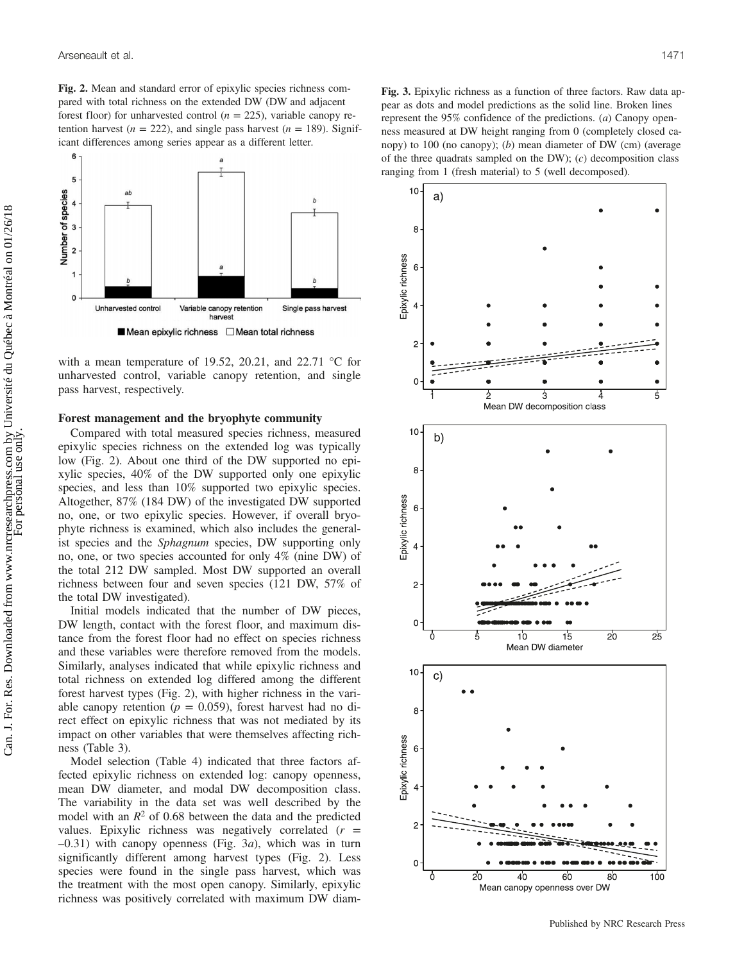Fig. 2. Mean and standard error of epixylic species richness compared with total richness on the extended DW (DW and adjacent forest floor) for unharvested control ( $n = 225$ ), variable canopy retention harvest ( $n = 222$ ), and single pass harvest ( $n = 189$ ). Significant differences among series appear as a different letter.



with a mean temperature of 19.52, 20.21, and 22.71  $\degree$ C for unharvested control, variable canopy retention, and single pass harvest, respectively.

#### Forest management and the bryophyte community

Compared with total measured species richness, measured epixylic species richness on the extended log was typically low (Fig. 2). About one third of the DW supported no epixylic species, 40% of the DW supported only one epixylic species, and less than 10% supported two epixylic species. Altogether, 87% (184 DW) of the investigated DW supported no, one, or two epixylic species. However, if overall bryophyte richness is examined, which also includes the generalist species and the Sphagnum species, DW supporting only no, one, or two species accounted for only 4% (nine DW) of the total 212 DW sampled. Most DW supported an overall richness between four and seven species (121 DW, 57% of the total DW investigated).

Initial models indicated that the number of DW pieces, DW length, contact with the forest floor, and maximum distance from the forest floor had no effect on species richness and these variables were therefore removed from the models. Similarly, analyses indicated that while epixylic richness and total richness on extended log differed among the different forest harvest types (Fig. 2), with higher richness in the variable canopy retention ( $p = 0.059$ ), forest harvest had no direct effect on epixylic richness that was not mediated by its impact on other variables that were themselves affecting richness (Table 3).

Model selection (Table 4) indicated that three factors affected epixylic richness on extended log: canopy openness, mean DW diameter, and modal DW decomposition class. The variability in the data set was well described by the model with an  $R^2$  of 0.68 between the data and the predicted values. Epixylic richness was negatively correlated  $(r =$  $-0.31$ ) with canopy openness (Fig. 3*a*), which was in turn significantly different among harvest types (Fig. 2). Less species were found in the single pass harvest, which was the treatment with the most open canopy. Similarly, epixylic richness was positively correlated with maximum DW diam-

Fig. 3. Epixylic richness as a function of three factors. Raw data appear as dots and model predictions as the solid line. Broken lines represent the 95% confidence of the predictions. (a) Canopy openness measured at DW height ranging from 0 (completely closed canopy) to 100 (no canopy); (b) mean diameter of DW (cm) (average of the three quadrats sampled on the DW);  $(c)$  decomposition class ranging from 1 (fresh material) to 5 (well decomposed).

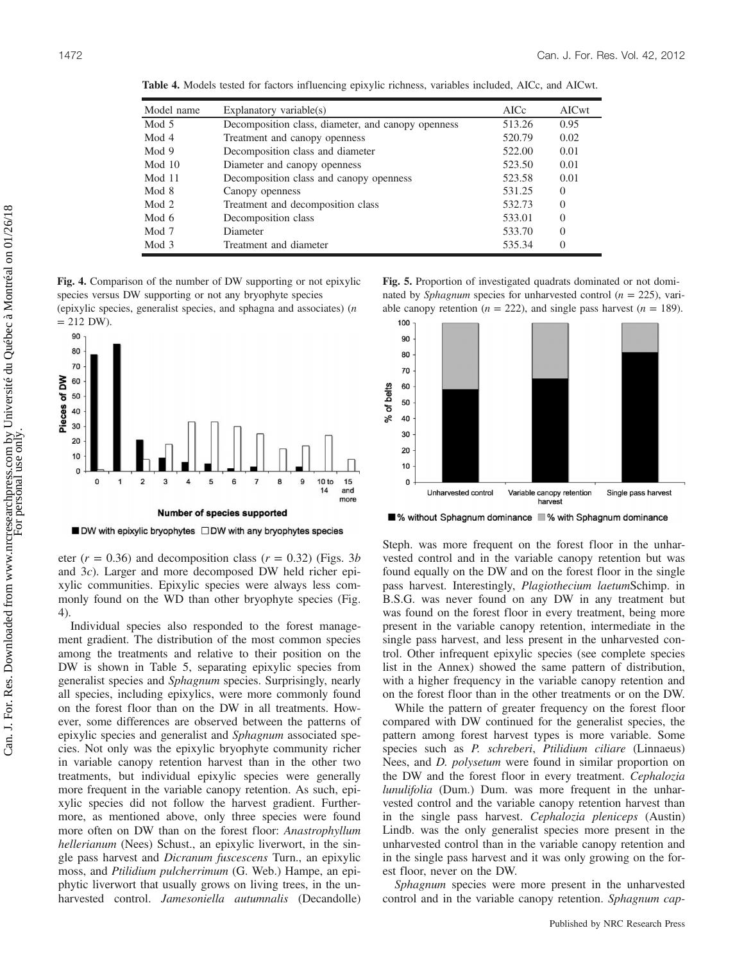| Model name | Explanatory variable $(s)$                         | AICc   | AICwt    |
|------------|----------------------------------------------------|--------|----------|
| Mod 5      | Decomposition class, diameter, and canopy openness | 513.26 | 0.95     |
| Mod 4      | Treatment and canopy openness                      | 520.79 | 0.02     |
| Mod 9      | Decomposition class and diameter                   | 522.00 | 0.01     |
| Mod $10$   | Diameter and canopy openness                       | 523.50 | 0.01     |
| Mod 11     | Decomposition class and canopy openness            | 523.58 | 0.01     |
| Mod 8      | Canopy openness                                    | 531.25 | $\Omega$ |
| Mod 2      | Treatment and decomposition class                  | 532.73 | $\Omega$ |
| Mod $6$    | Decomposition class                                | 533.01 | $\Omega$ |
| Mod 7      | Diameter                                           | 533.70 | $\Omega$ |
| Mod 3      | Treatment and diameter                             | 535.34 | $\Omega$ |

Table 4. Models tested for factors influencing epixylic richness, variables included, AICc, and AICwt.

Fig. 4. Comparison of the number of DW supporting or not epixylic species versus DW supporting or not any bryophyte species (epixylic species, generalist species, and sphagna and associates) (n



■ DW with epixylic bryophytes □ DW with any bryophytes species

eter ( $r = 0.36$ ) and decomposition class ( $r = 0.32$ ) (Figs. 3b) and 3c). Larger and more decomposed DW held richer epixylic communities. Epixylic species were always less commonly found on the WD than other bryophyte species (Fig. 4).

Individual species also responded to the forest management gradient. The distribution of the most common species among the treatments and relative to their position on the DW is shown in Table 5, separating epixylic species from generalist species and Sphagnum species. Surprisingly, nearly all species, including epixylics, were more commonly found on the forest floor than on the DW in all treatments. However, some differences are observed between the patterns of epixylic species and generalist and Sphagnum associated species. Not only was the epixylic bryophyte community richer in variable canopy retention harvest than in the other two treatments, but individual epixylic species were generally more frequent in the variable canopy retention. As such, epixylic species did not follow the harvest gradient. Furthermore, as mentioned above, only three species were found more often on DW than on the forest floor: Anastrophyllum hellerianum (Nees) Schust., an epixylic liverwort, in the single pass harvest and Dicranum fuscescens Turn., an epixylic moss, and Ptilidium pulcherrimum (G. Web.) Hampe, an epiphytic liverwort that usually grows on living trees, in the unharvested control. Jamesoniella autumnalis (Decandolle)

Fig. 5. Proportion of investigated quadrats dominated or not dominated by *Sphagnum* species for unharvested control ( $n = 225$ ), variable canopy retention ( $n = 222$ ), and single pass harvest ( $n = 189$ ).



■% without Sphagnum dominance ■% with Sphagnum dominance

Steph. was more frequent on the forest floor in the unharvested control and in the variable canopy retention but was found equally on the DW and on the forest floor in the single pass harvest. Interestingly, Plagiothecium laetumSchimp. in B.S.G. was never found on any DW in any treatment but was found on the forest floor in every treatment, being more present in the variable canopy retention, intermediate in the single pass harvest, and less present in the unharvested control. Other infrequent epixylic species (see complete species list in the Annex) showed the same pattern of distribution, with a higher frequency in the variable canopy retention and on the forest floor than in the other treatments or on the DW.

While the pattern of greater frequency on the forest floor compared with DW continued for the generalist species, the pattern among forest harvest types is more variable. Some species such as P. schreberi, Ptilidium ciliare (Linnaeus) Nees, and *D. polysetum* were found in similar proportion on the DW and the forest floor in every treatment. Cephalozia lunulifolia (Dum.) Dum. was more frequent in the unharvested control and the variable canopy retention harvest than in the single pass harvest. Cephalozia pleniceps (Austin) Lindb. was the only generalist species more present in the unharvested control than in the variable canopy retention and in the single pass harvest and it was only growing on the forest floor, never on the DW.

Sphagnum species were more present in the unharvested control and in the variable canopy retention. Sphagnum cap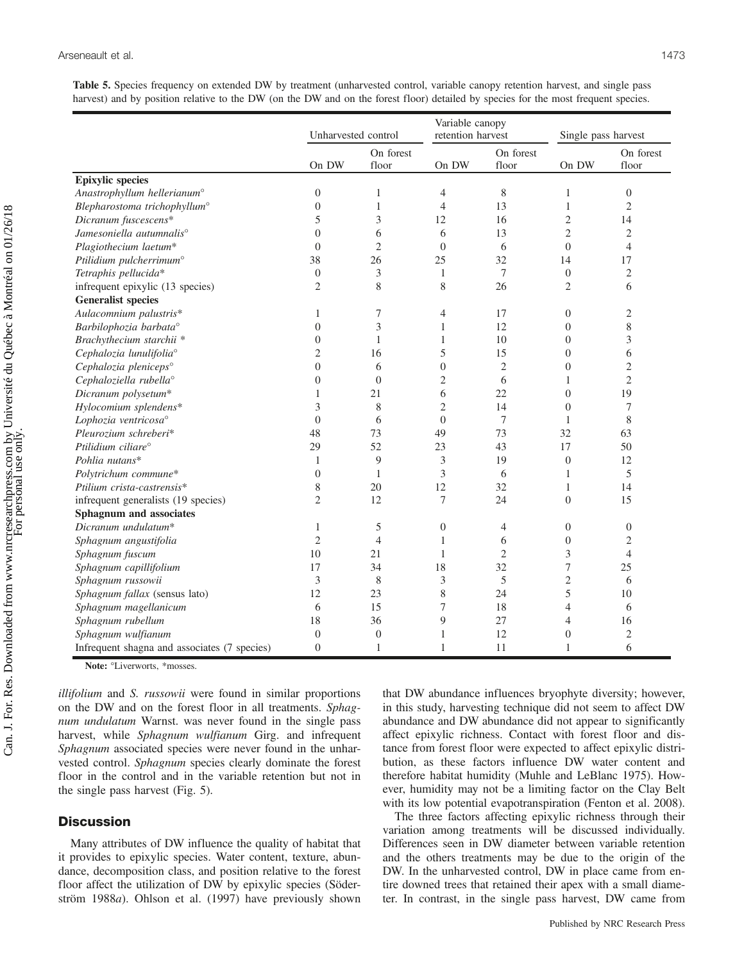Table 5. Species frequency on extended DW by treatment (unharvested control, variable canopy retention harvest, and single pass harvest) and by position relative to the DW (on the DW and on the forest floor) detailed by species for the most frequent species.

|                                              | Unharvested control |                    | Variable canopy<br>retention harvest |                    | Single pass harvest |                    |
|----------------------------------------------|---------------------|--------------------|--------------------------------------|--------------------|---------------------|--------------------|
|                                              | On DW               | On forest<br>floor | On DW                                | On forest<br>floor | On DW               | On forest<br>floor |
| <b>Epixylic</b> species                      |                     |                    |                                      |                    |                     |                    |
| Anastrophyllum hellerianum <sup>o</sup>      | $\boldsymbol{0}$    | $\mathbf{1}$       | 4                                    | 8                  | $\mathbf{1}$        | $\boldsymbol{0}$   |
| Blepharostoma trichophyllum <sup>o</sup>     | $\boldsymbol{0}$    | $\mathbf{1}$       | $\overline{4}$                       | 13                 | $\mathbf{1}$        | $\overline{2}$     |
| Dicranum fuscescens*                         | 5                   | $\mathfrak{Z}$     | 12                                   | 16                 | $\overline{2}$      | 14                 |
| Jamesoniella autumnalis <sup>o</sup>         | $\theta$            | 6                  | 6                                    | 13                 | $\overline{2}$      | $\overline{2}$     |
| Plagiothecium laetum*                        | $\overline{0}$      | $\mathbf{2}$       | $\boldsymbol{0}$                     | 6                  | $\overline{0}$      | $\overline{4}$     |
| Ptilidium pulcherrimum <sup>o</sup>          | 38                  | 26                 | 25                                   | 32                 | 14                  | 17                 |
| Tetraphis pellucida*                         | $\boldsymbol{0}$    | 3                  | $\mathbf{1}$                         | $\tau$             | $\mathbf{0}$        | $\mathfrak{2}$     |
| infrequent epixylic (13 species)             | $\mathfrak{2}$      | $\,$ 8 $\,$        | 8                                    | 26                 | $\mathfrak{2}$      | 6                  |
| <b>Generalist species</b>                    |                     |                    |                                      |                    |                     |                    |
| Aulacomnium palustris*                       | $\mathbf{1}$        | 7                  | 4                                    | 17                 | $\boldsymbol{0}$    | $\mathfrak{2}$     |
| Barbilophozia barbata°                       | $\theta$            | 3                  | $\mathbf{1}$                         | 12                 | $\mathbf{0}$        | 8                  |
| Brachythecium starchii *                     | $\theta$            | 1                  | $\mathbf{1}$                         | 10                 | $\mathbf{0}$        | 3                  |
| Cephalozia lunulifoliaº                      | $\mathfrak{2}$      | 16                 | 5                                    | 15                 | $\boldsymbol{0}$    | 6                  |
| Cephalozia pleniceps°                        | $\overline{0}$      | 6                  | $\overline{0}$                       | $\mathbf{2}$       | $\overline{0}$      | $\overline{c}$     |
| Cephaloziella rubella <sup>o</sup>           | $\overline{0}$      | $\overline{0}$     | $\mathfrak{2}$                       | 6                  | $\mathbf{1}$        | $\overline{c}$     |
| Dicranum polysetum*                          | 1                   | 21                 | 6                                    | 22                 | $\mathbf{0}$        | 19                 |
| Hylocomium splendens*                        | 3                   | $\,$ 8 $\,$        | $\mathfrak{2}$                       | 14                 | $\overline{0}$      | 7                  |
| Lophozia ventricosa <sup>o</sup>             | $\overline{0}$      | 6                  | $\boldsymbol{0}$                     | $\overline{7}$     | $\mathbf{1}$        | 8                  |
| Pleurozium schreberi*                        | 48                  | 73                 | 49                                   | 73                 | 32                  | 63                 |
| Ptilidium ciliare <sup>o</sup>               | 29                  | 52                 | 23                                   | 43                 | 17                  | 50                 |
| Pohlia nutans*                               | $\mathbf{1}$        | 9                  | 3                                    | 19                 | $\mathbf{0}$        | 12                 |
| Polytrichum commune*                         | $\overline{0}$      | 1                  | 3                                    | 6                  | $\mathbf{1}$        | 5                  |
| Ptilium crista-castrensis*                   | 8                   | 20                 | 12                                   | 32                 | $\mathbf{1}$        | 14                 |
| infrequent generalists (19 species)          | $\overline{c}$      | 12                 | 7                                    | 24                 | $\overline{0}$      | 15                 |
| <b>Sphagnum</b> and associates               |                     |                    |                                      |                    |                     |                    |
| Dicranum undulatum*                          | $\mathbf{1}$        | $\mathfrak s$      | $\boldsymbol{0}$                     | $\overline{4}$     | $\boldsymbol{0}$    | $\boldsymbol{0}$   |
| Sphagnum angustifolia                        | $\overline{2}$      | $\overline{4}$     | $\mathbf{1}$                         | 6                  | $\boldsymbol{0}$    | $\mathfrak{2}$     |
| Sphagnum fuscum                              | 10                  | 21                 | 1                                    | $\overline{2}$     | $\mathfrak{Z}$      | $\overline{4}$     |
| Sphagnum capillifolium                       | 17                  | 34                 | 18                                   | 32                 | $\overline{7}$      | 25                 |
| Sphagnum russowii                            | 3                   | 8                  | 3                                    | 5                  | $\overline{c}$      | 6                  |
| Sphagnum fallax (sensus lato)                | 12                  | 23                 | 8                                    | 24                 | 5                   | 10                 |
| Sphagnum magellanicum                        | 6                   | 15                 | 7                                    | 18                 | $\overline{4}$      | 6                  |
| Sphagnum rubellum                            | 18                  | 36                 | 9                                    | 27                 | $\overline{4}$      | 16                 |
| Sphagnum wulfianum                           | $\mathbf{0}$        | $\mathbf{0}$       | $\mathbf{1}$                         | 12                 | $\mathbf{0}$        | $\mathfrak{2}$     |
| Infrequent shagna and associates (7 species) | $\theta$            | $\mathbf{1}$       | $\mathbf{1}$                         | 11                 | $\mathbf{1}$        | 6                  |

Note: °Liverworts, \*mosses.

illifolium and S. russowii were found in similar proportions on the DW and on the forest floor in all treatments. Sphagnum undulatum Warnst. was never found in the single pass harvest, while Sphagnum wulfianum Girg. and infrequent Sphagnum associated species were never found in the unharvested control. Sphagnum species clearly dominate the forest floor in the control and in the variable retention but not in the single pass harvest (Fig. 5).

## **Discussion**

Many attributes of DW influence the quality of habitat that it provides to epixylic species. Water content, texture, abundance, decomposition class, and position relative to the forest floor affect the utilization of DW by epixylic species (Söderström 1988a). Ohlson et al. (1997) have previously shown that DW abundance influences bryophyte diversity; however, in this study, harvesting technique did not seem to affect DW abundance and DW abundance did not appear to significantly affect epixylic richness. Contact with forest floor and distance from forest floor were expected to affect epixylic distribution, as these factors influence DW water content and therefore habitat humidity (Muhle and LeBlanc 1975). However, humidity may not be a limiting factor on the Clay Belt with its low potential evapotranspiration (Fenton et al. 2008).

The three factors affecting epixylic richness through their variation among treatments will be discussed individually. Differences seen in DW diameter between variable retention and the others treatments may be due to the origin of the DW. In the unharvested control, DW in place came from entire downed trees that retained their apex with a small diameter. In contrast, in the single pass harvest, DW came from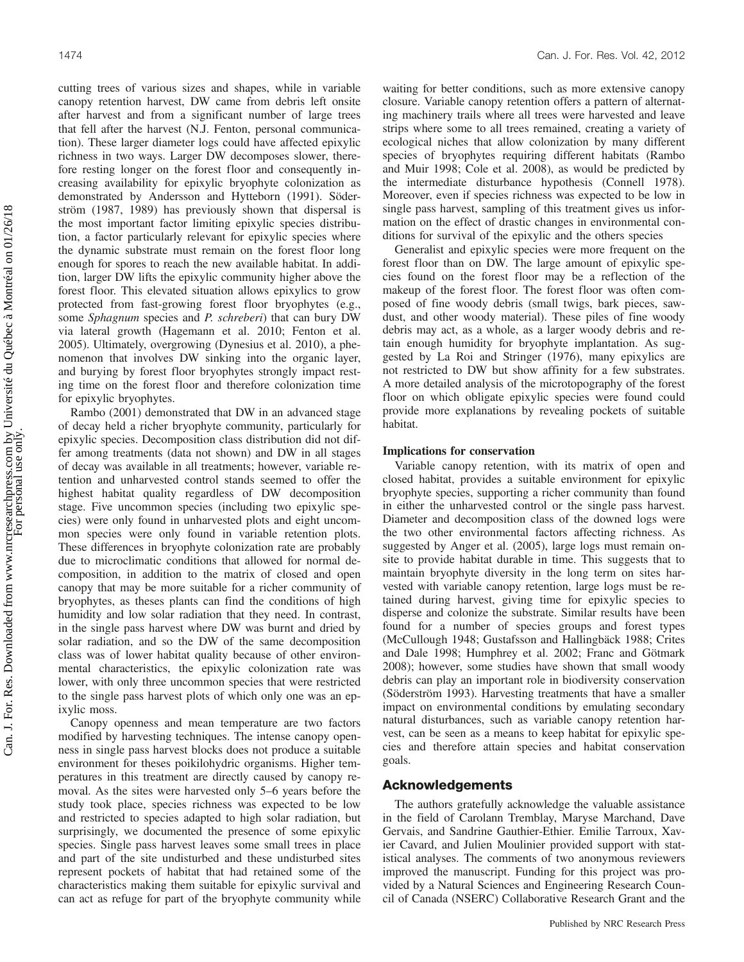cutting trees of various sizes and shapes, while in variable canopy retention harvest, DW came from debris left onsite after harvest and from a significant number of large trees that fell after the harvest (N.J. Fenton, personal communication). These larger diameter logs could have affected epixylic richness in two ways. Larger DW decomposes slower, therefore resting longer on the forest floor and consequently increasing availability for epixylic bryophyte colonization as demonstrated by Andersson and Hytteborn (1991). Söderström (1987, 1989) has previously shown that dispersal is the most important factor limiting epixylic species distribution, a factor particularly relevant for epixylic species where the dynamic substrate must remain on the forest floor long enough for spores to reach the new available habitat. In addition, larger DW lifts the epixylic community higher above the forest floor. This elevated situation allows epixylics to grow protected from fast-growing forest floor bryophytes (e.g., some Sphagnum species and P. schreberi) that can bury DW via lateral growth (Hagemann et al. 2010; Fenton et al. 2005). Ultimately, overgrowing (Dynesius et al. 2010), a phenomenon that involves DW sinking into the organic layer, and burying by forest floor bryophytes strongly impact resting time on the forest floor and therefore colonization time for epixylic bryophytes.

Rambo (2001) demonstrated that DW in an advanced stage of decay held a richer bryophyte community, particularly for epixylic species. Decomposition class distribution did not differ among treatments (data not shown) and DW in all stages of decay was available in all treatments; however, variable retention and unharvested control stands seemed to offer the highest habitat quality regardless of DW decomposition stage. Five uncommon species (including two epixylic species) were only found in unharvested plots and eight uncommon species were only found in variable retention plots. These differences in bryophyte colonization rate are probably due to microclimatic conditions that allowed for normal decomposition, in addition to the matrix of closed and open canopy that may be more suitable for a richer community of bryophytes, as theses plants can find the conditions of high humidity and low solar radiation that they need. In contrast, in the single pass harvest where DW was burnt and dried by solar radiation, and so the DW of the same decomposition class was of lower habitat quality because of other environmental characteristics, the epixylic colonization rate was lower, with only three uncommon species that were restricted to the single pass harvest plots of which only one was an epixylic moss.

Canopy openness and mean temperature are two factors modified by harvesting techniques. The intense canopy openness in single pass harvest blocks does not produce a suitable environment for theses poikilohydric organisms. Higher temperatures in this treatment are directly caused by canopy removal. As the sites were harvested only 5–6 years before the study took place, species richness was expected to be low and restricted to species adapted to high solar radiation, but surprisingly, we documented the presence of some epixylic species. Single pass harvest leaves some small trees in place and part of the site undisturbed and these undisturbed sites represent pockets of habitat that had retained some of the characteristics making them suitable for epixylic survival and can act as refuge for part of the bryophyte community while waiting for better conditions, such as more extensive canopy closure. Variable canopy retention offers a pattern of alternating machinery trails where all trees were harvested and leave strips where some to all trees remained, creating a variety of ecological niches that allow colonization by many different species of bryophytes requiring different habitats (Rambo and Muir 1998; Cole et al. 2008), as would be predicted by the intermediate disturbance hypothesis (Connell 1978). Moreover, even if species richness was expected to be low in single pass harvest, sampling of this treatment gives us information on the effect of drastic changes in environmental conditions for survival of the epixylic and the others species

Generalist and epixylic species were more frequent on the forest floor than on DW. The large amount of epixylic species found on the forest floor may be a reflection of the makeup of the forest floor. The forest floor was often composed of fine woody debris (small twigs, bark pieces, sawdust, and other woody material). These piles of fine woody debris may act, as a whole, as a larger woody debris and retain enough humidity for bryophyte implantation. As suggested by La Roi and Stringer (1976), many epixylics are not restricted to DW but show affinity for a few substrates. A more detailed analysis of the microtopography of the forest floor on which obligate epixylic species were found could provide more explanations by revealing pockets of suitable habitat.

### Implications for conservation

Variable canopy retention, with its matrix of open and closed habitat, provides a suitable environment for epixylic bryophyte species, supporting a richer community than found in either the unharvested control or the single pass harvest. Diameter and decomposition class of the downed logs were the two other environmental factors affecting richness. As suggested by Anger et al. (2005), large logs must remain onsite to provide habitat durable in time. This suggests that to maintain bryophyte diversity in the long term on sites harvested with variable canopy retention, large logs must be retained during harvest, giving time for epixylic species to disperse and colonize the substrate. Similar results have been found for a number of species groups and forest types (McCullough 1948; Gustafsson and Hallingbäck 1988; Crites and Dale 1998; Humphrey et al. 2002; Franc and Götmark 2008); however, some studies have shown that small woody debris can play an important role in biodiversity conservation (Söderström 1993). Harvesting treatments that have a smaller impact on environmental conditions by emulating secondary natural disturbances, such as variable canopy retention harvest, can be seen as a means to keep habitat for epixylic species and therefore attain species and habitat conservation goals.

### Acknowledgements

The authors gratefully acknowledge the valuable assistance in the field of Carolann Tremblay, Maryse Marchand, Dave Gervais, and Sandrine Gauthier-Ethier. Emilie Tarroux, Xavier Cavard, and Julien Moulinier provided support with statistical analyses. The comments of two anonymous reviewers improved the manuscript. Funding for this project was provided by a Natural Sciences and Engineering Research Council of Canada (NSERC) Collaborative Research Grant and the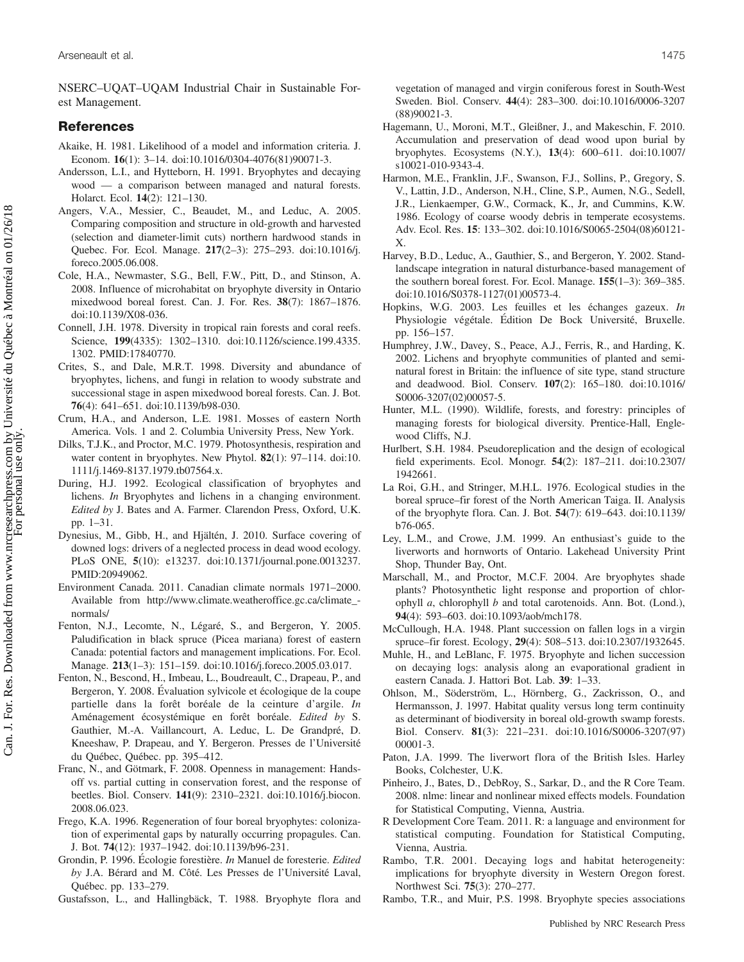NSERC–UQAT–UQAM Industrial Chair in Sustainable Forest Management.

## References

- Akaike, H. 1981. Likelihood of a model and information criteria. J. Econom. 16(1): 3–14. doi:10.1016/0304-4076(81)90071-3.
- Andersson, L.I., and Hytteborn, H. 1991. Bryophytes and decaying wood — a comparison between managed and natural forests. Holarct. Ecol. 14(2): 121–130.
- Angers, V.A., Messier, C., Beaudet, M., and Leduc, A. 2005. Comparing composition and structure in old-growth and harvested (selection and diameter-limit cuts) northern hardwood stands in Quebec. For. Ecol. Manage. 217(2–3): 275–293. doi:10.1016/j. foreco.2005.06.008.
- Cole, H.A., Newmaster, S.G., Bell, F.W., Pitt, D., and Stinson, A. 2008. Influence of microhabitat on bryophyte diversity in Ontario mixedwood boreal forest. Can. J. For. Res. 38(7): 1867–1876. doi:10.1139/X08-036.
- Connell, J.H. 1978. Diversity in tropical rain forests and coral reefs. Science, 199(4335): 1302-1310. doi:10.1126/science.199.4335. 1302. PMID:17840770.
- Crites, S., and Dale, M.R.T. 1998. Diversity and abundance of bryophytes, lichens, and fungi in relation to woody substrate and successional stage in aspen mixedwood boreal forests. Can. J. Bot. 76(4): 641–651. doi:10.1139/b98-030.
- Crum, H.A., and Anderson, L.E. 1981. Mosses of eastern North America. Vols. 1 and 2. Columbia University Press, New York.
- Dilks, T.J.K., and Proctor, M.C. 1979. Photosynthesis, respiration and water content in bryophytes. New Phytol. **82**(1): 97–114. doi:10. 1111/j.1469-8137.1979.tb07564.x.
- During, H.J. 1992. Ecological classification of bryophytes and lichens. In Bryophytes and lichens in a changing environment. Edited by J. Bates and A. Farmer. Clarendon Press, Oxford, U.K. pp. 1–31.
- Dynesius, M., Gibb, H., and Hjältén, J. 2010. Surface covering of downed logs: drivers of a neglected process in dead wood ecology. PLoS ONE, 5(10): e13237. doi:10.1371/journal.pone.0013237. PMID:20949062.
- Environment Canada. 2011. Canadian climate normals 1971–2000. Available from http://www.climate.weatheroffice.gc.ca/climate\_ normals/
- Fenton, N.J., Lecomte, N., Légaré, S., and Bergeron, Y. 2005. Paludification in black spruce (Picea mariana) forest of eastern Canada: potential factors and management implications. For. Ecol. Manage. 213(1–3): 151–159. doi:10.1016/j.foreco.2005.03.017.
- Fenton, N., Bescond, H., Imbeau, L., Boudreault, C., Drapeau, P., and Bergeron, Y. 2008. Évaluation sylvicole et écologique de la coupe partielle dans la forêt boréale de la ceinture d'argile. In Aménagement écosystémique en forêt boréale. Edited by S. Gauthier, M.-A. Vaillancourt, A. Leduc, L. De Grandpré, D. Kneeshaw, P. Drapeau, and Y. Bergeron. Presses de l'Université du Québec, Québec. pp. 395–412.
- Franc, N., and Götmark, F. 2008. Openness in management: Handsoff vs. partial cutting in conservation forest, and the response of beetles. Biol. Conserv. 141(9): 2310–2321. doi:10.1016/j.biocon. 2008.06.023.
- Frego, K.A. 1996. Regeneration of four boreal bryophytes: colonization of experimental gaps by naturally occurring propagules. Can. J. Bot. 74(12): 1937–1942. doi:10.1139/b96-231.
- Grondin, P. 1996. Écologie forestière. In Manuel de foresterie. Edited by J.A. Bérard and M. Côté. Les Presses de l'Université Laval, Québec. pp. 133–279.
- Gustafsson, L., and Hallingbäck, T. 1988. Bryophyte flora and

vegetation of managed and virgin coniferous forest in South-West Sweden. Biol. Conserv. 44(4): 283–300. doi:10.1016/0006-3207 (88)90021-3.

- Hagemann, U., Moroni, M.T., Gleißner, J., and Makeschin, F. 2010. Accumulation and preservation of dead wood upon burial by bryophytes. Ecosystems (N.Y.), 13(4): 600–611. doi:10.1007/ s10021-010-9343-4.
- Harmon, M.E., Franklin, J.F., Swanson, F.J., Sollins, P., Gregory, S. V., Lattin, J.D., Anderson, N.H., Cline, S.P., Aumen, N.G., Sedell, J.R., Lienkaemper, G.W., Cormack, K., Jr, and Cummins, K.W. 1986. Ecology of coarse woody debris in temperate ecosystems. Adv. Ecol. Res. 15: 133–302. doi:10.1016/S0065-2504(08)60121- X.
- Harvey, B.D., Leduc, A., Gauthier, S., and Bergeron, Y. 2002. Standlandscape integration in natural disturbance-based management of the southern boreal forest. For. Ecol. Manage. 155(1–3): 369–385. doi:10.1016/S0378-1127(01)00573-4.
- Hopkins, W.G. 2003. Les feuilles et les échanges gazeux. In Physiologie végétale. Édition De Bock Université, Bruxelle. pp. 156–157.
- Humphrey, J.W., Davey, S., Peace, A.J., Ferris, R., and Harding, K. 2002. Lichens and bryophyte communities of planted and seminatural forest in Britain: the influence of site type, stand structure and deadwood. Biol. Conserv. 107(2): 165–180. doi:10.1016/ S0006-3207(02)00057-5.
- Hunter, M.L. (1990). Wildlife, forests, and forestry: principles of managing forests for biological diversity. Prentice-Hall, Englewood Cliffs, N.J.
- Hurlbert, S.H. 1984. Pseudoreplication and the design of ecological field experiments. Ecol. Monogr. 54(2): 187–211. doi:10.2307/ 1942661.
- La Roi, G.H., and Stringer, M.H.L. 1976. Ecological studies in the boreal spruce–fir forest of the North American Taiga. II. Analysis of the bryophyte flora. Can. J. Bot. 54(7): 619–643. doi:10.1139/ b76-065.
- Ley, L.M., and Crowe, J.M. 1999. An enthusiast's guide to the liverworts and hornworts of Ontario. Lakehead University Print Shop, Thunder Bay, Ont.
- Marschall, M., and Proctor, M.C.F. 2004. Are bryophytes shade plants? Photosynthetic light response and proportion of chlorophyll a, chlorophyll b and total carotenoids. Ann. Bot. (Lond.), 94(4): 593–603. doi:10.1093/aob/mch178.
- McCullough, H.A. 1948. Plant succession on fallen logs in a virgin spruce–fir forest. Ecology, 29(4): 508–513. doi:10.2307/1932645.
- Muhle, H., and LeBlanc, F. 1975. Bryophyte and lichen succession on decaying logs: analysis along an evaporational gradient in eastern Canada. J. Hattori Bot. Lab. 39: 1–33.
- Ohlson, M., Söderström, L., Hörnberg, G., Zackrisson, O., and Hermansson, J. 1997. Habitat quality versus long term continuity as determinant of biodiversity in boreal old-growth swamp forests. Biol. Conserv. 81(3): 221–231. doi:10.1016/S0006-3207(97) 00001-3.
- Paton, J.A. 1999. The liverwort flora of the British Isles. Harley Books, Colchester, U.K.
- Pinheiro, J., Bates, D., DebRoy, S., Sarkar, D., and the R Core Team. 2008. nlme: linear and nonlinear mixed effects models. Foundation for Statistical Computing, Vienna, Austria.
- R Development Core Team. 2011. R: a language and environment for statistical computing. Foundation for Statistical Computing, Vienna, Austria.
- Rambo, T.R. 2001. Decaying logs and habitat heterogeneity: implications for bryophyte diversity in Western Oregon forest. Northwest Sci. 75(3): 270–277.
- Rambo, T.R., and Muir, P.S. 1998. Bryophyte species associations